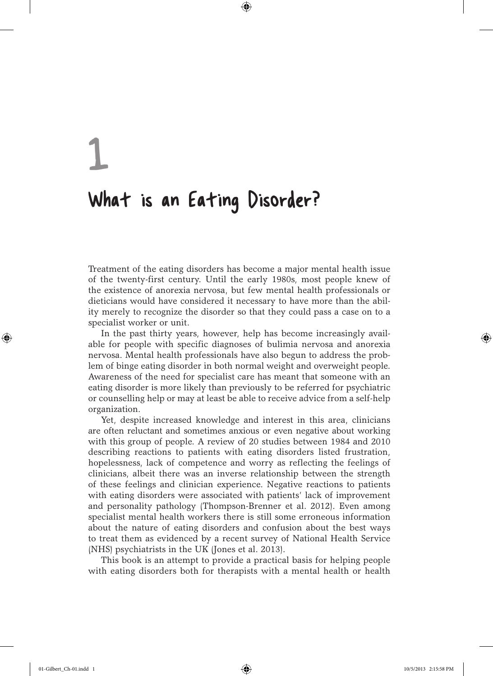# 1 What is an Eating Disorder?

Treatment of the eating disorders has become a major mental health issue of the twenty-first century. Until the early 1980s, most people knew of the existence of anorexia nervosa, but few mental health professionals or dieticians would have considered it necessary to have more than the ability merely to recognize the disorder so that they could pass a case on to a specialist worker or unit.

⊕

In the past thirty years, however, help has become increasingly available for people with specific diagnoses of bulimia nervosa and anorexia nervosa. Mental health professionals have also begun to address the problem of binge eating disorder in both normal weight and overweight people. Awareness of the need for specialist care has meant that someone with an eating disorder is more likely than previously to be referred for psychiatric or counselling help or may at least be able to receive advice from a self-help organization.

Yet, despite increased knowledge and interest in this area, clinicians are often reluctant and sometimes anxious or even negative about working with this group of people. A review of 20 studies between 1984 and 2010 describing reactions to patients with eating disorders listed frustration, hopelessness, lack of competence and worry as reflecting the feelings of clinicians, albeit there was an inverse relationship between the strength of these feelings and clinician experience. Negative reactions to patients with eating disorders were associated with patients' lack of improvement and personality pathology (Thompson-Brenner et al. 2012). Even among specialist mental health workers there is still some erroneous information about the nature of eating disorders and confusion about the best ways to treat them as evidenced by a recent survey of National Health Service (NHS) psychiatrists in the UK (Jones et al. 2013).

This book is an attempt to provide a practical basis for helping people with eating disorders both for therapists with a mental health or health

⊕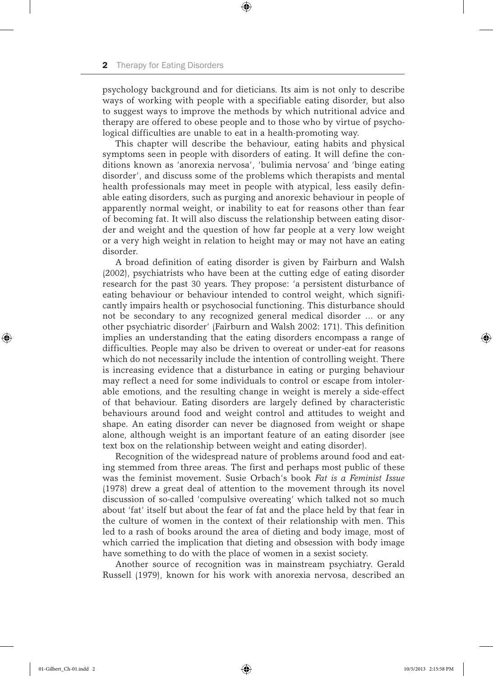psychology background and for dieticians. Its aim is not only to describe ways of working with people with a specifiable eating disorder, but also to suggest ways to improve the methods by which nutritional advice and therapy are offered to obese people and to those who by virtue of psychological difficulties are unable to eat in a health-promoting way.

⊕

This chapter will describe the behaviour, eating habits and physical symptoms seen in people with disorders of eating. It will define the conditions known as 'anorexia nervosa', 'bulimia nervosa' and 'binge eating disorder', and discuss some of the problems which therapists and mental health professionals may meet in people with atypical, less easily definable eating disorders, such as purging and anorexic behaviour in people of apparently normal weight, or inability to eat for reasons other than fear of becoming fat. It will also discuss the relationship between eating disorder and weight and the question of how far people at a very low weight or a very high weight in relation to height may or may not have an eating disorder.

A broad definition of eating disorder is given by Fairburn and Walsh (2002), psychiatrists who have been at the cutting edge of eating disorder research for the past 30 years. They propose: 'a persistent disturbance of eating behaviour or behaviour intended to control weight, which significantly impairs health or psychosocial functioning. This disturbance should not be secondary to any recognized general medical disorder … or any other psychiatric disorder' (Fairburn and Walsh 2002: 171). This definition implies an understanding that the eating disorders encompass a range of difficulties. People may also be driven to overeat or under-eat for reasons which do not necessarily include the intention of controlling weight. There is increasing evidence that a disturbance in eating or purging behaviour may reflect a need for some individuals to control or escape from intolerable emotions, and the resulting change in weight is merely a side-effect of that behaviour. Eating disorders are largely defined by characteristic behaviours around food and weight control and attitudes to weight and shape. An eating disorder can never be diagnosed from weight or shape alone, although weight is an important feature of an eating disorder (see text box on the relationship between weight and eating disorder).

Recognition of the widespread nature of problems around food and eating stemmed from three areas. The first and perhaps most public of these was the feminist movement. Susie Orbach's book *Fat is a Feminist Issue* (1978) drew a great deal of attention to the movement through its novel discussion of so-called 'compulsive overeating' which talked not so much about 'fat' itself but about the fear of fat and the place held by that fear in the culture of women in the context of their relationship with men. This led to a rash of books around the area of dieting and body image, most of which carried the implication that dieting and obsession with body image have something to do with the place of women in a sexist society.

Another source of recognition was in mainstream psychiatry. Gerald Russell (1979), known for his work with anorexia nervosa, described an

⊕

 $\Leftrightarrow$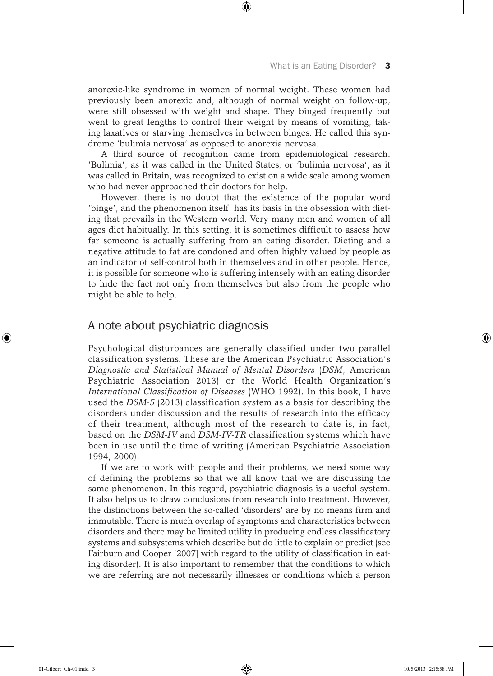anorexic-like syndrome in women of normal weight. These women had previously been anorexic and, although of normal weight on follow-up, were still obsessed with weight and shape. They binged frequently but went to great lengths to control their weight by means of vomiting, taking laxatives or starving themselves in between binges. He called this syndrome 'bulimia nervosa' as opposed to anorexia nervosa.

⊕

A third source of recognition came from epidemiological research. 'Bulimia', as it was called in the United States, or 'bulimia nervosa', as it was called in Britain, was recognized to exist on a wide scale among women who had never approached their doctors for help.

However, there is no doubt that the existence of the popular word 'binge', and the phenomenon itself, has its basis in the obsession with dieting that prevails in the Western world. Very many men and women of all ages diet habitually. In this setting, it is sometimes difficult to assess how far someone is actually suffering from an eating disorder. Dieting and a negative attitude to fat are condoned and often highly valued by people as an indicator of self-control both in themselves and in other people. Hence, it is possible for someone who is suffering intensely with an eating disorder to hide the fact not only from themselves but also from the people who might be able to help.

# A note about psychiatric diagnosis

Psychological disturbances are generally classified under two parallel classification systems. These are the American Psychiatric Association's *Diagnostic and Statistical Manual of Mental Disorders* (*DSM*, American Psychiatric Association 2013) or the World Health Organization's *International Classification of Diseases* (WHO 1992). In this book, I have used the *DSM-5* (2013) classification system as a basis for describing the disorders under discussion and the results of research into the efficacy of their treatment, although most of the research to date is, in fact, based on the *DSM-IV* and *DSM-IV-TR* classification systems which have been in use until the time of writing (American Psychiatric Association 1994, 2000).

If we are to work with people and their problems, we need some way of defining the problems so that we all know that we are discussing the same phenomenon. In this regard, psychiatric diagnosis is a useful system. It also helps us to draw conclusions from research into treatment. However, the distinctions between the so-called 'disorders' are by no means firm and immutable. There is much overlap of symptoms and characteristics between disorders and there may be limited utility in producing endless classificatory systems and subsystems which describe but do little to explain or predict (see Fairburn and Cooper [2007] with regard to the utility of classification in eating disorder). It is also important to remember that the conditions to which we are referring are not necessarily illnesses or conditions which a person

⊕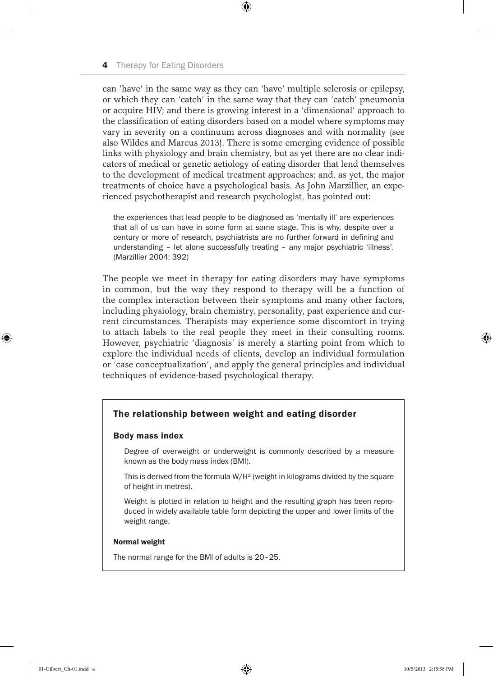can 'have' in the same way as they can 'have' multiple sclerosis or epilepsy, or which they can 'catch' in the same way that they can 'catch' pneumonia or acquire HIV; and there is growing interest in a 'dimensional' approach to the classification of eating disorders based on a model where symptoms may vary in severity on a continuum across diagnoses and with normality (see also Wildes and Marcus 2013). There is some emerging evidence of possible links with physiology and brain chemistry, but as yet there are no clear indicators of medical or genetic aetiology of eating disorder that lend themselves to the development of medical treatment approaches; and, as yet, the major treatments of choice have a psychological basis. As John Marzillier, an experienced psychotherapist and research psychologist, has pointed out:

⊕

the experiences that lead people to be diagnosed as 'mentally ill' are experiences that all of us can have in some form at some stage. This is why, despite over a century or more of research, psychiatrists are no further forward in defining and understanding – let alone successfully treating – any major psychiatric 'illness'. (Marzillier 2004: 392)

The people we meet in therapy for eating disorders may have symptoms in common, but the way they respond to therapy will be a function of the complex interaction between their symptoms and many other factors, including physiology, brain chemistry, personality, past experience and current circumstances. Therapists may experience some discomfort in trying to attach labels to the real people they meet in their consulting rooms. However, psychiatric 'diagnosis' is merely a starting point from which to explore the individual needs of clients, develop an individual formulation or 'case conceptualization', and apply the general principles and individual techniques of evidence-based psychological therapy.

## The relationship between weight and eating disorder

#### Body mass index

Degree of overweight or underweight is commonly described by a measure known as the body mass index (BMI).

This is derived from the formula W/H² (weight in kilograms divided by the square of height in metres).

Weight is plotted in relation to height and the resulting graph has been reproduced in widely available table form depicting the upper and lower limits of the weight range.

#### Normal weight

The normal range for the BMI of adults is 20–25.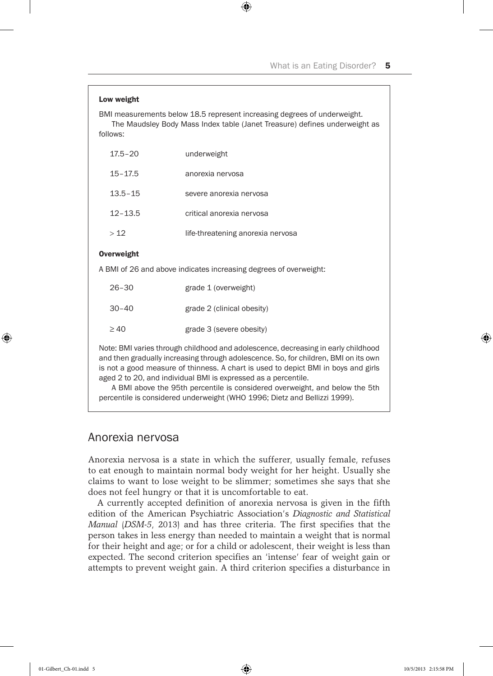| Low weight                                                                                                                                                                                                                                                                                                                       |                                   |
|----------------------------------------------------------------------------------------------------------------------------------------------------------------------------------------------------------------------------------------------------------------------------------------------------------------------------------|-----------------------------------|
| BMI measurements below 18.5 represent increasing degrees of underweight.<br>The Maudsley Body Mass Index table (Janet Treasure) defines underweight as<br>follows:                                                                                                                                                               |                                   |
| $17.5 - 20$                                                                                                                                                                                                                                                                                                                      | underweight                       |
| $15 - 17.5$                                                                                                                                                                                                                                                                                                                      | anorexia nervosa                  |
| $13.5 - 15$                                                                                                                                                                                                                                                                                                                      | severe anorexia nervosa           |
| $12 - 13.5$                                                                                                                                                                                                                                                                                                                      | critical anorexia nervosa         |
| >12                                                                                                                                                                                                                                                                                                                              | life-threatening anorexia nervosa |
| Overweight                                                                                                                                                                                                                                                                                                                       |                                   |
| A BMI of 26 and above indicates increasing degrees of overweight:                                                                                                                                                                                                                                                                |                                   |
| $26 - 30$                                                                                                                                                                                                                                                                                                                        | grade 1 (overweight)              |
| $30 - 40$                                                                                                                                                                                                                                                                                                                        | grade 2 (clinical obesity)        |
| $\geq 40$                                                                                                                                                                                                                                                                                                                        | grade 3 (severe obesity)          |
| Note: BMI varies through childhood and adolescence, decreasing in early childhood<br>and then gradually increasing through adolescence. So, for children, BMI on its own<br>is not a good measure of thinness. A chart is used to depict BMI in boys and girls<br>aged 2 to 20, and individual BMI is expressed as a percentile. |                                   |

 $\bigoplus$ 

A BMI above the 95th percentile is considered overweight, and below the 5th percentile is considered underweight (WHO 1996; Dietz and Bellizzi 1999).

# Anorexia nervosa

Anorexia nervosa is a state in which the sufferer, usually female, refuses to eat enough to maintain normal body weight for her height. Usually she claims to want to lose weight to be slimmer; sometimes she says that she does not feel hungry or that it is uncomfortable to eat.

A currently accepted definition of anorexia nervosa is given in the fifth edition of the American Psychiatric Association's *Diagnostic and Statistical Manual* (*DSM-5*, 2013) and has three criteria. The first specifies that the person takes in less energy than needed to maintain a weight that is normal for their height and age; or for a child or adolescent, their weight is less than expected. The second criterion specifies an 'intense' fear of weight gain or attempts to prevent weight gain. A third criterion specifies a disturbance in

⊕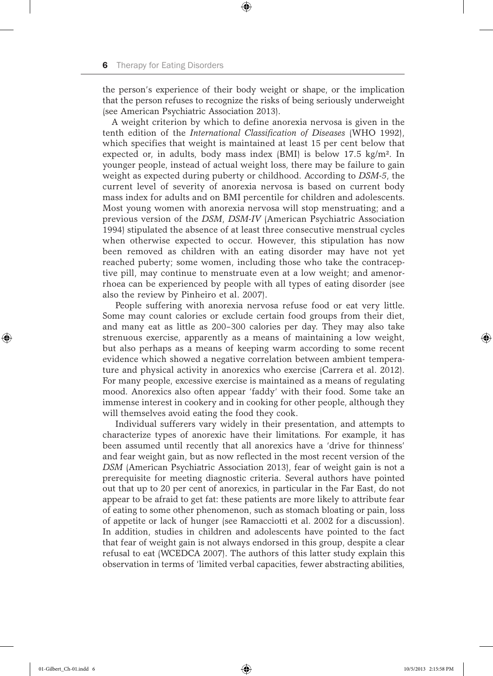the person's experience of their body weight or shape, or the implication that the person refuses to recognize the risks of being seriously underweight (see American Psychiatric Association 2013).

⊕

A weight criterion by which to define anorexia nervosa is given in the tenth edition of the *International Classification of Diseases* (WHO 1992), which specifies that weight is maintained at least 15 per cent below that expected or, in adults, body mass index  $(BMI)$  is below 17.5 kg/m<sup>2</sup>. In younger people, instead of actual weight loss, there may be failure to gain weight as expected during puberty or childhood. According to *DSM-5*, the current level of severity of anorexia nervosa is based on current body mass index for adults and on BMI percentile for children and adolescents. Most young women with anorexia nervosa will stop menstruating; and a previous version of the *DSM*, *DSM-IV* (American Psychiatric Association 1994) stipulated the absence of at least three consecutive menstrual cycles when otherwise expected to occur. However, this stipulation has now been removed as children with an eating disorder may have not yet reached puberty; some women, including those who take the contraceptive pill, may continue to menstruate even at a low weight; and amenorrhoea can be experienced by people with all types of eating disorder (see also the review by Pinheiro et al. 2007).

People suffering with anorexia nervosa refuse food or eat very little. Some may count calories or exclude certain food groups from their diet, and many eat as little as 200–300 calories per day. They may also take strenuous exercise, apparently as a means of maintaining a low weight, but also perhaps as a means of keeping warm according to some recent evidence which showed a negative correlation between ambient temperature and physical activity in anorexics who exercise (Carrera et al. 2012). For many people, excessive exercise is maintained as a means of regulating mood. Anorexics also often appear 'faddy' with their food. Some take an immense interest in cookery and in cooking for other people, although they will themselves avoid eating the food they cook.

Individual sufferers vary widely in their presentation, and attempts to characterize types of anorexic have their limitations. For example, it has been assumed until recently that all anorexics have a 'drive for thinness' and fear weight gain, but as now reflected in the most recent version of the *DSM* (American Psychiatric Association 2013), fear of weight gain is not a prerequisite for meeting diagnostic criteria. Several authors have pointed out that up to 20 per cent of anorexics, in particular in the Far East, do not appear to be afraid to get fat: these patients are more likely to attribute fear of eating to some other phenomenon, such as stomach bloating or pain, loss of appetite or lack of hunger (see Ramacciotti et al. 2002 for a discussion). In addition, studies in children and adolescents have pointed to the fact that fear of weight gain is not always endorsed in this group, despite a clear refusal to eat (WCEDCA 2007). The authors of this latter study explain this observation in terms of 'limited verbal capacities, fewer abstracting abilities,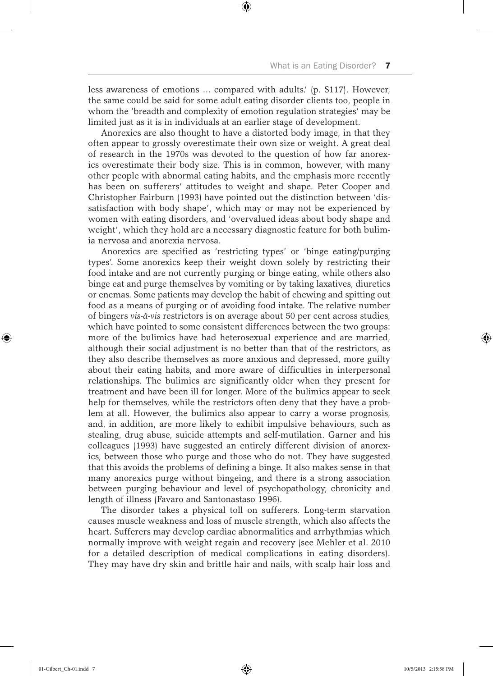less awareness of emotions … compared with adults.' (p. S117). However, the same could be said for some adult eating disorder clients too, people in whom the 'breadth and complexity of emotion regulation strategies' may be limited just as it is in individuals at an earlier stage of development.

⊕

Anorexics are also thought to have a distorted body image, in that they often appear to grossly overestimate their own size or weight. A great deal of research in the 1970s was devoted to the question of how far anorexics overestimate their body size. This is in common, however, with many other people with abnormal eating habits, and the emphasis more recently has been on sufferers' attitudes to weight and shape. Peter Cooper and Christopher Fairburn (1993) have pointed out the distinction between 'dissatisfaction with body shape', which may or may not be experienced by women with eating disorders, and 'overvalued ideas about body shape and weight', which they hold are a necessary diagnostic feature for both bulimia nervosa and anorexia nervosa.

Anorexics are specified as 'restricting types' or 'binge eating/purging types'. Some anorexics keep their weight down solely by restricting their food intake and are not currently purging or binge eating, while others also binge eat and purge themselves by vomiting or by taking laxatives, diuretics or enemas. Some patients may develop the habit of chewing and spitting out food as a means of purging or of avoiding food intake. The relative number of bingers *vis-à-vis* restrictors is on average about 50 per cent across studies, which have pointed to some consistent differences between the two groups: more of the bulimics have had heterosexual experience and are married, although their social adjustment is no better than that of the restrictors, as they also describe themselves as more anxious and depressed, more guilty about their eating habits, and more aware of difficulties in interpersonal relationships. The bulimics are significantly older when they present for treatment and have been ill for longer. More of the bulimics appear to seek help for themselves, while the restrictors often deny that they have a problem at all. However, the bulimics also appear to carry a worse prognosis, and, in addition, are more likely to exhibit impulsive behaviours, such as stealing, drug abuse, suicide attempts and self-mutilation. Garner and his colleagues (1993) have suggested an entirely different division of anorexics, between those who purge and those who do not. They have suggested that this avoids the problems of defining a binge. It also makes sense in that many anorexics purge without bingeing, and there is a strong association between purging behaviour and level of psychopathology, chronicity and length of illness (Favaro and Santonastaso 1996).

The disorder takes a physical toll on sufferers. Long-term starvation causes muscle weakness and loss of muscle strength, which also affects the heart. Sufferers may develop cardiac abnormalities and arrhythmias which normally improve with weight regain and recovery (see Mehler et al. 2010 for a detailed description of medical complications in eating disorders). They may have dry skin and brittle hair and nails, with scalp hair loss and

⊕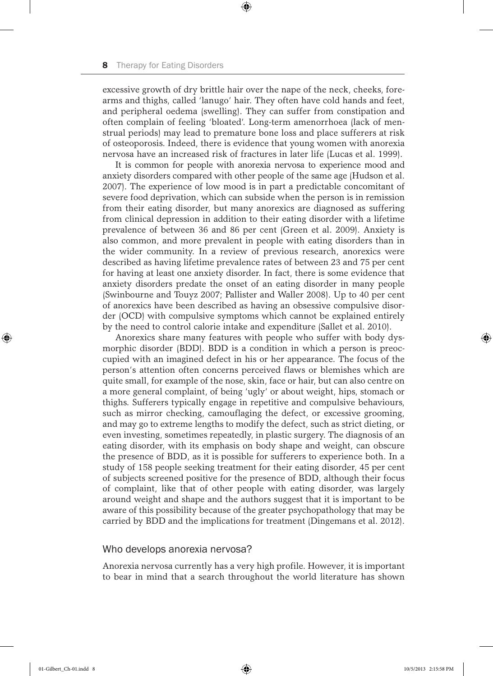excessive growth of dry brittle hair over the nape of the neck, cheeks, forearms and thighs, called 'lanugo' hair. They often have cold hands and feet, and peripheral oedema (swelling). They can suffer from constipation and often complain of feeling 'bloated'. Long-term amenorrhoea (lack of menstrual periods) may lead to premature bone loss and place sufferers at risk of osteoporosis. Indeed, there is evidence that young women with anorexia nervosa have an increased risk of fractures in later life (Lucas et al. 1999).

⊕

It is common for people with anorexia nervosa to experience mood and anxiety disorders compared with other people of the same age (Hudson et al. 2007). The experience of low mood is in part a predictable concomitant of severe food deprivation, which can subside when the person is in remission from their eating disorder, but many anorexics are diagnosed as suffering from clinical depression in addition to their eating disorder with a lifetime prevalence of between 36 and 86 per cent (Green et al. 2009). Anxiety is also common, and more prevalent in people with eating disorders than in the wider community. In a review of previous research, anorexics were described as having lifetime prevalence rates of between 23 and 75 per cent for having at least one anxiety disorder. In fact, there is some evidence that anxiety disorders predate the onset of an eating disorder in many people (Swinbourne and Touyz 2007; Pallister and Waller 2008). Up to 40 per cent of anorexics have been described as having an obsessive compulsive disorder (OCD) with compulsive symptoms which cannot be explained entirely by the need to control calorie intake and expenditure (Sallet et al. 2010).

Anorexics share many features with people who suffer with body dysmorphic disorder (BDD). BDD is a condition in which a person is preoccupied with an imagined defect in his or her appearance. The focus of the person's attention often concerns perceived flaws or blemishes which are quite small, for example of the nose, skin, face or hair, but can also centre on a more general complaint, of being 'ugly' or about weight, hips, stomach or thighs. Sufferers typically engage in repetitive and compulsive behaviours, such as mirror checking, camouflaging the defect, or excessive grooming, and may go to extreme lengths to modify the defect, such as strict dieting, or even investing, sometimes repeatedly, in plastic surgery. The diagnosis of an eating disorder, with its emphasis on body shape and weight, can obscure the presence of BDD, as it is possible for sufferers to experience both. In a study of 158 people seeking treatment for their eating disorder, 45 per cent of subjects screened positive for the presence of BDD, although their focus of complaint, like that of other people with eating disorder, was largely around weight and shape and the authors suggest that it is important to be aware of this possibility because of the greater psychopathology that may be carried by BDD and the implications for treatment (Dingemans et al. 2012).

## Who develops anorexia nervosa?

Anorexia nervosa currently has a very high profile. However, it is important to bear in mind that a search throughout the world literature has shown

⊕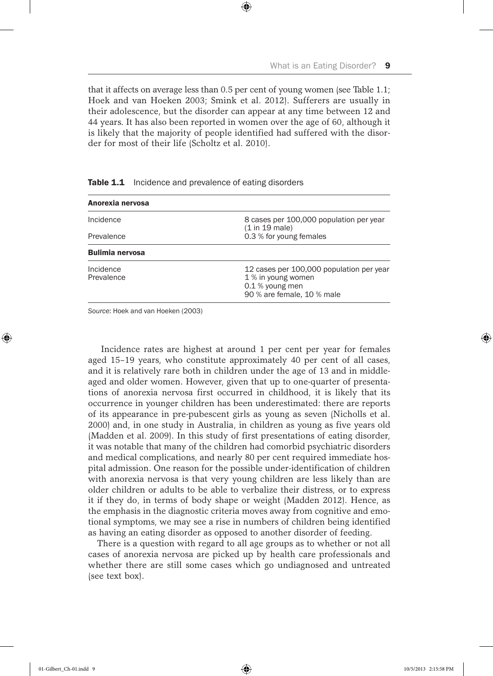that it affects on average less than 0.5 per cent of young women (see Table 1.1; Hoek and van Hoeken 2003; Smink et al. 2012). Sufferers are usually in their adolescence, but the disorder can appear at any time between 12 and 44 years. It has also been reported in women over the age of 60, although it is likely that the majority of people identified had suffered with the disorder for most of their life (Scholtz et al. 2010).

⊕

| Anorexia nervosa        |                                                                                                                 |  |
|-------------------------|-----------------------------------------------------------------------------------------------------------------|--|
| Incidence               | 8 cases per 100,000 population per year<br>(1 in 19 male)                                                       |  |
| Prevalence              | 0.3 % for young females                                                                                         |  |
| <b>Bulimia nervosa</b>  |                                                                                                                 |  |
| Incidence<br>Prevalence | 12 cases per 100,000 population per year<br>1 % in young women<br>0.1 % young men<br>90 % are female, 10 % male |  |

Table 1.1 Incidence and prevalence of eating disorders

*Source*: Hoek and van Hoeken (2003)

Incidence rates are highest at around 1 per cent per year for females aged 15–19 years, who constitute approximately 40 per cent of all cases, and it is relatively rare both in children under the age of 13 and in middleaged and older women. However, given that up to one-quarter of presentations of anorexia nervosa first occurred in childhood, it is likely that its occurrence in younger children has been underestimated: there are reports of its appearance in pre-pubescent girls as young as seven (Nicholls et al. 2000) and, in one study in Australia, in children as young as five years old (Madden et al. 2009). In this study of first presentations of eating disorder, it was notable that many of the children had comorbid psychiatric disorders and medical complications, and nearly 80 per cent required immediate hospital admission. One reason for the possible under-identification of children with anorexia nervosa is that very young children are less likely than are older children or adults to be able to verbalize their distress, or to express it if they do, in terms of body shape or weight (Madden 2012). Hence, as the emphasis in the diagnostic criteria moves away from cognitive and emotional symptoms, we may see a rise in numbers of children being identified as having an eating disorder as opposed to another disorder of feeding.

There is a question with regard to all age groups as to whether or not all cases of anorexia nervosa are picked up by health care professionals and whether there are still some cases which go undiagnosed and untreated (see text box).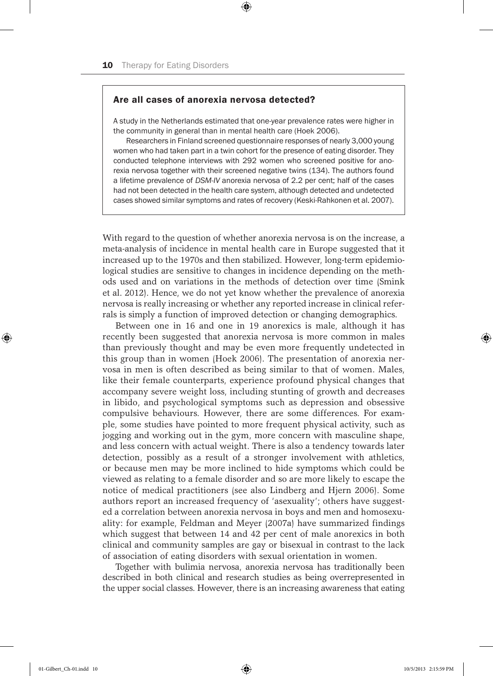# Are all cases of anorexia nervosa detected?

A study in the Netherlands estimated that one-year prevalence rates were higher in the community in general than in mental health care (Hoek 2006).

 $\textcircled{\scriptsize{*}}$ 

Researchers in Finland screened questionnaire responses of nearly 3,000 young women who had taken part in a twin cohort for the presence of eating disorder. They conducted telephone interviews with 292 women who screened positive for anorexia nervosa together with their screened negative twins (134). The authors found a lifetime prevalence of *DSM-IV* anorexia nervosa of 2.2 per cent; half of the cases had not been detected in the health care system, although detected and undetected cases showed similar symptoms and rates of recovery (Keski-Rahkonen et al. 2007).

With regard to the question of whether anorexia nervosa is on the increase, a meta-analysis of incidence in mental health care in Europe suggested that it increased up to the 1970s and then stabilized. However, long-term epidemiological studies are sensitive to changes in incidence depending on the methods used and on variations in the methods of detection over time (Smink et al. 2012). Hence, we do not yet know whether the prevalence of anorexia nervosa is really increasing or whether any reported increase in clinical referrals is simply a function of improved detection or changing demographics.

Between one in 16 and one in 19 anorexics is male, although it has recently been suggested that anorexia nervosa is more common in males than previously thought and may be even more frequently undetected in this group than in women (Hoek 2006). The presentation of anorexia nervosa in men is often described as being similar to that of women. Males, like their female counterparts, experience profound physical changes that accompany severe weight loss, including stunting of growth and decreases in libido, and psychological symptoms such as depression and obsessive compulsive behaviours. However, there are some differences. For example, some studies have pointed to more frequent physical activity, such as jogging and working out in the gym, more concern with masculine shape, and less concern with actual weight. There is also a tendency towards later detection, possibly as a result of a stronger involvement with athletics, or because men may be more inclined to hide symptoms which could be viewed as relating to a female disorder and so are more likely to escape the notice of medical practitioners (see also Lindberg and Hjern 2006). Some authors report an increased frequency of 'asexuality'; others have suggested a correlation between anorexia nervosa in boys and men and homosexuality: for example, Feldman and Meyer (2007a) have summarized findings which suggest that between 14 and 42 per cent of male anorexics in both clinical and community samples are gay or bisexual in contrast to the lack of association of eating disorders with sexual orientation in women.

Together with bulimia nervosa, anorexia nervosa has traditionally been described in both clinical and research studies as being overrepresented in the upper social classes. However, there is an increasing awareness that eating

♠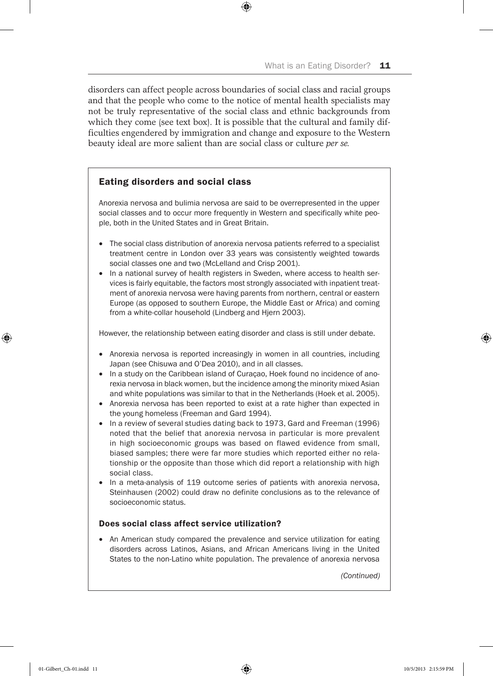disorders can affect people across boundaries of social class and racial groups and that the people who come to the notice of mental health specialists may not be truly representative of the social class and ethnic backgrounds from which they come (see text box). It is possible that the cultural and family difficulties engendered by immigration and change and exposure to the Western beauty ideal are more salient than are social class or culture *per se.*

⊕

# Eating disorders and social class

Anorexia nervosa and bulimia nervosa are said to be overrepresented in the upper social classes and to occur more frequently in Western and specifically white people, both in the United States and in Great Britain.

- The social class distribution of anorexia nervosa patients referred to a specialist treatment centre in London over 33 years was consistently weighted towards social classes one and two (McLelland and Crisp 2001).
- In a national survey of health registers in Sweden, where access to health services is fairly equitable, the factors most strongly associated with inpatient treatment of anorexia nervosa were having parents from northern, central or eastern Europe (as opposed to southern Europe, the Middle East or Africa) and coming from a white-collar household (Lindberg and Hjern 2003).

However, the relationship between eating disorder and class is still under debate.

- Anorexia nervosa is reported increasingly in women in all countries, including Japan (see Chisuwa and O'Dea 2010), and in all classes.
- In a study on the Caribbean island of Curaçao, Hoek found no incidence of anorexia nervosa in black women, but the incidence among the minority mixed Asian and white populations was similar to that in the Netherlands (Hoek et al. 2005).
- Anorexia nervosa has been reported to exist at a rate higher than expected in the young homeless (Freeman and Gard 1994).
- In a review of several studies dating back to 1973, Gard and Freeman (1996) noted that the belief that anorexia nervosa in particular is more prevalent in high socioeconomic groups was based on flawed evidence from small, biased samples; there were far more studies which reported either no relationship or the opposite than those which did report a relationship with high social class.
- In a meta-analysis of 119 outcome series of patients with anorexia nervosa, Steinhausen (2002) could draw no definite conclusions as to the relevance of socioeconomic status.

# Does social class affect service utilization?

• An American study compared the prevalence and service utilization for eating disorders across Latinos, Asians, and African Americans living in the United States to the non-Latino white population. The prevalence of anorexia nervosa

*(Continued)*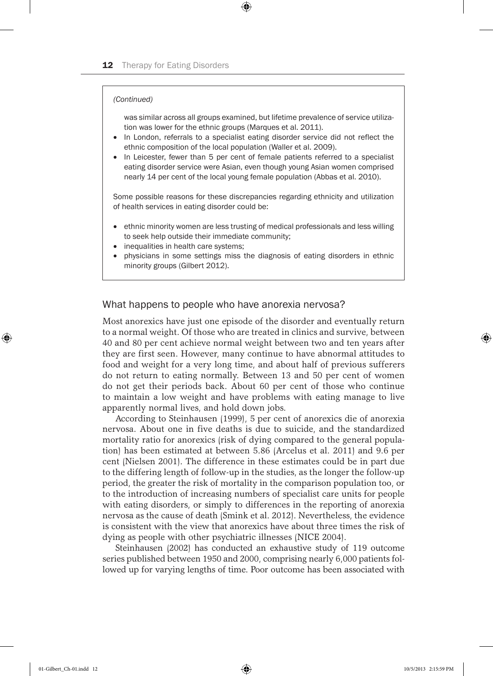#### *(Continued)*

was similar across all groups examined, but lifetime prevalence of service utilization was lower for the ethnic groups (Marques et al. 2011).

In London, referrals to a specialist eating disorder service did not reflect the ethnic composition of the local population (Waller et al. 2009).

⊕

• In Leicester, fewer than 5 per cent of female patients referred to a specialist eating disorder service were Asian, even though young Asian women comprised nearly 14 per cent of the local young female population (Abbas et al. 2010).

Some possible reasons for these discrepancies regarding ethnicity and utilization of health services in eating disorder could be:

- ethnic minority women are less trusting of medical professionals and less willing to seek help outside their immediate community;
- inequalities in health care systems;
- physicians in some settings miss the diagnosis of eating disorders in ethnic minority groups (Gilbert 2012).

# What happens to people who have anorexia nervosa?

Most anorexics have just one episode of the disorder and eventually return to a normal weight. Of those who are treated in clinics and survive, between 40 and 80 per cent achieve normal weight between two and ten years after they are first seen. However, many continue to have abnormal attitudes to food and weight for a very long time, and about half of previous sufferers do not return to eating normally. Between 13 and 50 per cent of women do not get their periods back. About 60 per cent of those who continue to maintain a low weight and have problems with eating manage to live apparently normal lives, and hold down jobs.

According to Steinhausen (1999), 5 per cent of anorexics die of anorexia nervosa. About one in five deaths is due to suicide, and the standardized mortality ratio for anorexics (risk of dying compared to the general population) has been estimated at between 5.86 (Arcelus et al. 2011) and 9.6 per cent (Nielsen 2001). The difference in these estimates could be in part due to the differing length of follow-up in the studies, as the longer the follow-up period, the greater the risk of mortality in the comparison population too, or to the introduction of increasing numbers of specialist care units for people with eating disorders, or simply to differences in the reporting of anorexia nervosa as the cause of death (Smink et al. 2012). Nevertheless, the evidence is consistent with the view that anorexics have about three times the risk of dying as people with other psychiatric illnesses (NICE 2004).

Steinhausen (2002) has conducted an exhaustive study of 119 outcome series published between 1950 and 2000, comprising nearly 6,000 patients followed up for varying lengths of time. Poor outcome has been associated with

♠

 $\Leftrightarrow$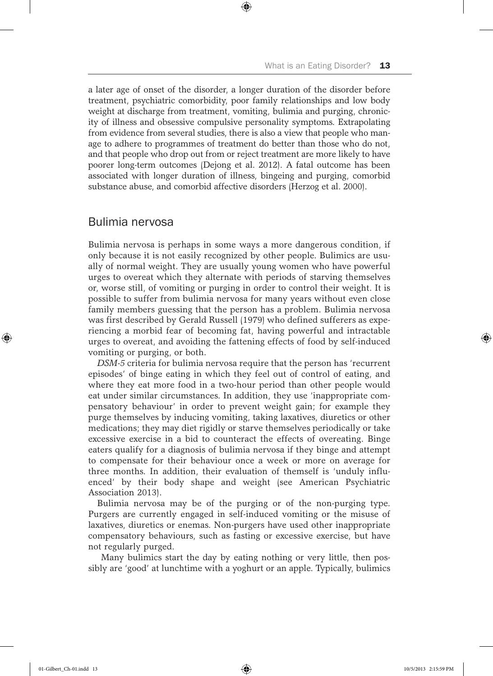a later age of onset of the disorder, a longer duration of the disorder before treatment, psychiatric comorbidity, poor family relationships and low body weight at discharge from treatment, vomiting, bulimia and purging, chronicity of illness and obsessive compulsive personality symptoms. Extrapolating from evidence from several studies, there is also a view that people who manage to adhere to programmes of treatment do better than those who do not, and that people who drop out from or reject treatment are more likely to have poorer long-term outcomes (Dejong et al. 2012). A fatal outcome has been associated with longer duration of illness, bingeing and purging, comorbid substance abuse, and comorbid affective disorders (Herzog et al. 2000).

⊕

# Bulimia nervosa

Bulimia nervosa is perhaps in some ways a more dangerous condition, if only because it is not easily recognized by other people. Bulimics are usually of normal weight. They are usually young women who have powerful urges to overeat which they alternate with periods of starving themselves or, worse still, of vomiting or purging in order to control their weight. It is possible to suffer from bulimia nervosa for many years without even close family members guessing that the person has a problem. Bulimia nervosa was first described by Gerald Russell (1979) who defined sufferers as experiencing a morbid fear of becoming fat, having powerful and intractable urges to overeat, and avoiding the fattening effects of food by self-induced vomiting or purging, or both.

*DSM-5* criteria for bulimia nervosa require that the person has 'recurrent episodes' of binge eating in which they feel out of control of eating, and where they eat more food in a two-hour period than other people would eat under similar circumstances. In addition, they use 'inappropriate compensatory behaviour' in order to prevent weight gain; for example they purge themselves by inducing vomiting, taking laxatives, diuretics or other medications; they may diet rigidly or starve themselves periodically or take excessive exercise in a bid to counteract the effects of overeating. Binge eaters qualify for a diagnosis of bulimia nervosa if they binge and attempt to compensate for their behaviour once a week or more on average for three months. In addition, their evaluation of themself is 'unduly influenced' by their body shape and weight (see American Psychiatric Association 2013).

Bulimia nervosa may be of the purging or of the non-purging type. Purgers are currently engaged in self-induced vomiting or the misuse of laxatives, diuretics or enemas. Non-purgers have used other inappropriate compensatory behaviours, such as fasting or excessive exercise, but have not regularly purged.

Many bulimics start the day by eating nothing or very little, then possibly are 'good' at lunchtime with a yoghurt or an apple. Typically, bulimics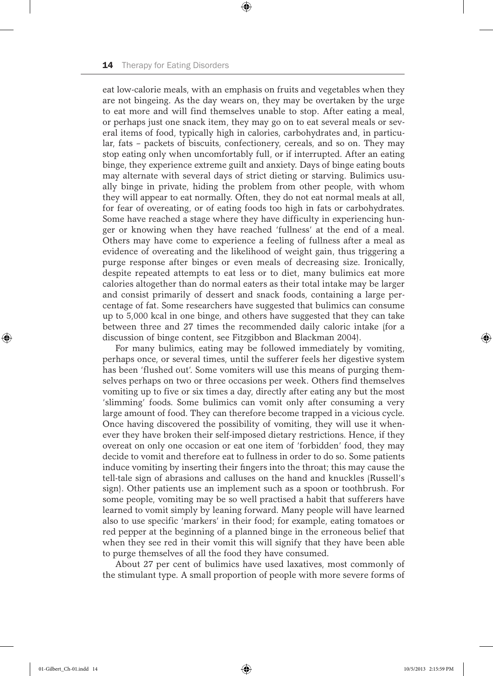eat low-calorie meals, with an emphasis on fruits and vegetables when they are not bingeing. As the day wears on, they may be overtaken by the urge to eat more and will find themselves unable to stop. After eating a meal, or perhaps just one snack item, they may go on to eat several meals or several items of food, typically high in calories, carbohydrates and, in particular, fats – packets of biscuits, confectionery, cereals, and so on. They may stop eating only when uncomfortably full, or if interrupted. After an eating binge, they experience extreme guilt and anxiety. Days of binge eating bouts may alternate with several days of strict dieting or starving. Bulimics usually binge in private, hiding the problem from other people, with whom they will appear to eat normally. Often, they do not eat normal meals at all, for fear of overeating, or of eating foods too high in fats or carbohydrates. Some have reached a stage where they have difficulty in experiencing hunger or knowing when they have reached 'fullness' at the end of a meal. Others may have come to experience a feeling of fullness after a meal as evidence of overeating and the likelihood of weight gain, thus triggering a purge response after binges or even meals of decreasing size. Ironically, despite repeated attempts to eat less or to diet, many bulimics eat more calories altogether than do normal eaters as their total intake may be larger and consist primarily of dessert and snack foods, containing a large percentage of fat. Some researchers have suggested that bulimics can consume up to 5,000 kcal in one binge, and others have suggested that they can take between three and 27 times the recommended daily caloric intake (for a discussion of binge content, see Fitzgibbon and Blackman 2004).

⊕

For many bulimics, eating may be followed immediately by vomiting, perhaps once, or several times, until the sufferer feels her digestive system has been 'flushed out'. Some vomiters will use this means of purging themselves perhaps on two or three occasions per week. Others find themselves vomiting up to five or six times a day, directly after eating any but the most 'slimming' foods. Some bulimics can vomit only after consuming a very large amount of food. They can therefore become trapped in a vicious cycle. Once having discovered the possibility of vomiting, they will use it whenever they have broken their self-imposed dietary restrictions. Hence, if they overeat on only one occasion or eat one item of 'forbidden' food, they may decide to vomit and therefore eat to fullness in order to do so. Some patients induce vomiting by inserting their fingers into the throat; this may cause the tell-tale sign of abrasions and calluses on the hand and knuckles (Russell's sign). Other patients use an implement such as a spoon or toothbrush. For some people, vomiting may be so well practised a habit that sufferers have learned to vomit simply by leaning forward. Many people will have learned also to use specific 'markers' in their food; for example, eating tomatoes or red pepper at the beginning of a planned binge in the erroneous belief that when they see red in their vomit this will signify that they have been able to purge themselves of all the food they have consumed.

About 27 per cent of bulimics have used laxatives, most commonly of the stimulant type. A small proportion of people with more severe forms of

⊕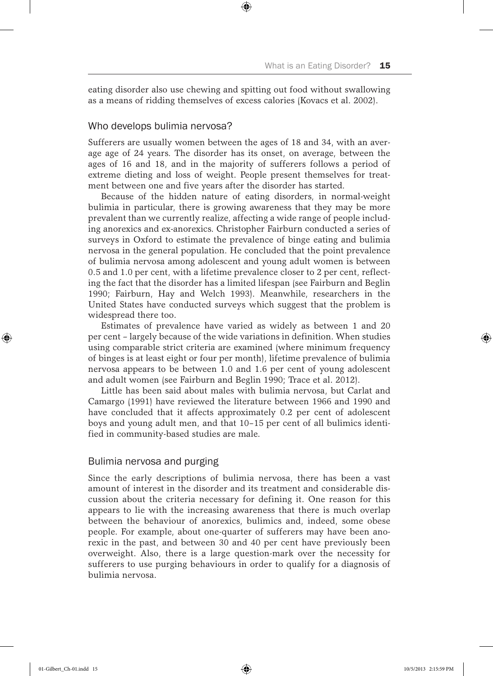eating disorder also use chewing and spitting out food without swallowing as a means of ridding themselves of excess calories (Kovacs et al. 2002).

⊕

#### Who develops bulimia nervosa?

Sufferers are usually women between the ages of 18 and 34, with an average age of 24 years. The disorder has its onset, on average, between the ages of 16 and 18, and in the majority of sufferers follows a period of extreme dieting and loss of weight. People present themselves for treatment between one and five years after the disorder has started.

Because of the hidden nature of eating disorders, in normal-weight bulimia in particular, there is growing awareness that they may be more prevalent than we currently realize, affecting a wide range of people including anorexics and ex-anorexics. Christopher Fairburn conducted a series of surveys in Oxford to estimate the prevalence of binge eating and bulimia nervosa in the general population. He concluded that the point prevalence of bulimia nervosa among adolescent and young adult women is between 0.5 and 1.0 per cent, with a lifetime prevalence closer to 2 per cent, reflecting the fact that the disorder has a limited lifespan (see Fairburn and Beglin 1990; Fairburn, Hay and Welch 1993). Meanwhile, researchers in the United States have conducted surveys which suggest that the problem is widespread there too.

Estimates of prevalence have varied as widely as between 1 and 20 per cent – largely because of the wide variations in definition. When studies using comparable strict criteria are examined (where minimum frequency of binges is at least eight or four per month), lifetime prevalence of bulimia nervosa appears to be between 1.0 and 1.6 per cent of young adolescent and adult women (see Fairburn and Beglin 1990; Trace et al. 2012).

Little has been said about males with bulimia nervosa, but Carlat and Camargo (1991) have reviewed the literature between 1966 and 1990 and have concluded that it affects approximately 0.2 per cent of adolescent boys and young adult men, and that 10–15 per cent of all bulimics identified in community-based studies are male.

## Bulimia nervosa and purging

Since the early descriptions of bulimia nervosa, there has been a vast amount of interest in the disorder and its treatment and considerable discussion about the criteria necessary for defining it. One reason for this appears to lie with the increasing awareness that there is much overlap between the behaviour of anorexics, bulimics and, indeed, some obese people. For example, about one-quarter of sufferers may have been anorexic in the past, and between 30 and 40 per cent have previously been overweight. Also, there is a large question-mark over the necessity for sufferers to use purging behaviours in order to qualify for a diagnosis of bulimia nervosa.

⊕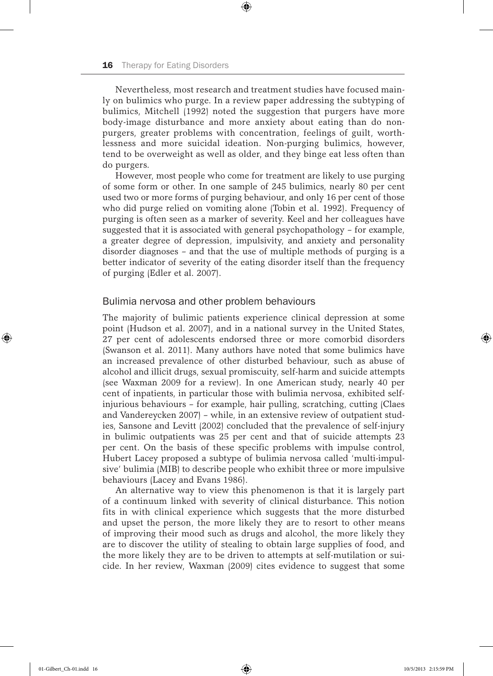Nevertheless, most research and treatment studies have focused mainly on bulimics who purge. In a review paper addressing the subtyping of bulimics, Mitchell (1992) noted the suggestion that purgers have more body-image disturbance and more anxiety about eating than do nonpurgers, greater problems with concentration, feelings of guilt, worthlessness and more suicidal ideation. Non-purging bulimics, however, tend to be overweight as well as older, and they binge eat less often than do purgers.

⊕

However, most people who come for treatment are likely to use purging of some form or other. In one sample of 245 bulimics, nearly 80 per cent used two or more forms of purging behaviour, and only 16 per cent of those who did purge relied on vomiting alone (Tobin et al. 1992). Frequency of purging is often seen as a marker of severity. Keel and her colleagues have suggested that it is associated with general psychopathology – for example, a greater degree of depression, impulsivity, and anxiety and personality disorder diagnoses – and that the use of multiple methods of purging is a better indicator of severity of the eating disorder itself than the frequency of purging (Edler et al. 2007).

#### Bulimia nervosa and other problem behaviours

The majority of bulimic patients experience clinical depression at some point (Hudson et al. 2007), and in a national survey in the United States, 27 per cent of adolescents endorsed three or more comorbid disorders (Swanson et al. 2011). Many authors have noted that some bulimics have an increased prevalence of other disturbed behaviour, such as abuse of alcohol and illicit drugs, sexual promiscuity, self-harm and suicide attempts (see Waxman 2009 for a review). In one American study, nearly 40 per cent of inpatients, in particular those with bulimia nervosa, exhibited selfinjurious behaviours – for example, hair pulling, scratching, cutting (Claes and Vandereycken 2007) – while, in an extensive review of outpatient studies, Sansone and Levitt (2002) concluded that the prevalence of self-injury in bulimic outpatients was 25 per cent and that of suicide attempts 23 per cent. On the basis of these specific problems with impulse control, Hubert Lacey proposed a subtype of bulimia nervosa called 'multi-impulsive' bulimia (MIB) to describe people who exhibit three or more impulsive behaviours (Lacey and Evans 1986).

An alternative way to view this phenomenon is that it is largely part of a continuum linked with severity of clinical disturbance. This notion fits in with clinical experience which suggests that the more disturbed and upset the person, the more likely they are to resort to other means of improving their mood such as drugs and alcohol, the more likely they are to discover the utility of stealing to obtain large supplies of food, and the more likely they are to be driven to attempts at self-mutilation or suicide. In her review, Waxman (2009) cites evidence to suggest that some

⊕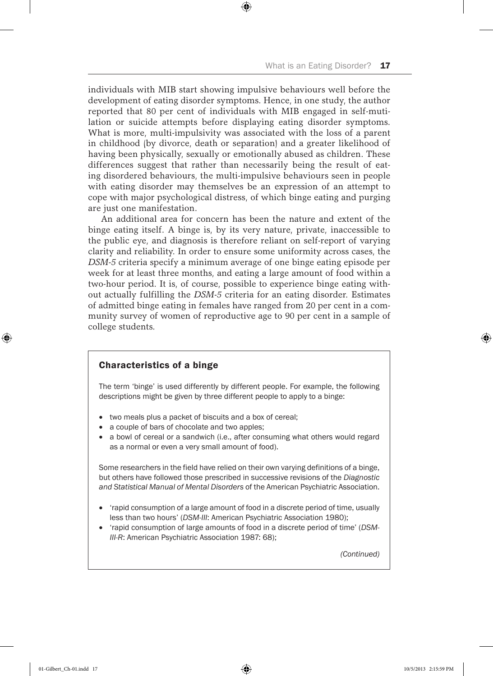individuals with MIB start showing impulsive behaviours well before the development of eating disorder symptoms. Hence, in one study, the author reported that 80 per cent of individuals with MIB engaged in self-mutilation or suicide attempts before displaying eating disorder symptoms. What is more, multi-impulsivity was associated with the loss of a parent in childhood (by divorce, death or separation) and a greater likelihood of having been physically, sexually or emotionally abused as children. These differences suggest that rather than necessarily being the result of eating disordered behaviours, the multi-impulsive behaviours seen in people with eating disorder may themselves be an expression of an attempt to cope with major psychological distress, of which binge eating and purging are just one manifestation.

⊕

An additional area for concern has been the nature and extent of the binge eating itself. A binge is, by its very nature, private, inaccessible to the public eye, and diagnosis is therefore reliant on self-report of varying clarity and reliability. In order to ensure some uniformity across cases, the *DSM-5* criteria specify a minimum average of one binge eating episode per week for at least three months, and eating a large amount of food within a two-hour period. It is, of course, possible to experience binge eating without actually fulfilling the *DSM-5* criteria for an eating disorder. Estimates of admitted binge eating in females have ranged from 20 per cent in a community survey of women of reproductive age to 90 per cent in a sample of college students.

## Characteristics of a binge

The term 'binge' is used differently by different people. For example, the following descriptions might be given by three different people to apply to a binge:

- two meals plus a packet of biscuits and a box of cereal;
- a couple of bars of chocolate and two apples;
- a bowl of cereal or a sandwich (i.e., after consuming what others would regard as a normal or even a very small amount of food).

Some researchers in the field have relied on their own varying definitions of a binge, but others have followed those prescribed in successive revisions of the *Diagnostic and Statistical Manual of Mental Disorders* of the American Psychiatric Association.

- trapid consumption of a large amount of food in a discrete period of time, usually less than two hours' (*DSM-III*: American Psychiatric Association 1980);
- 'rapid consumption of large amounts of food in a discrete period of time' (DSM-*III-R*: American Psychiatric Association 1987: 68);

*(Continued)*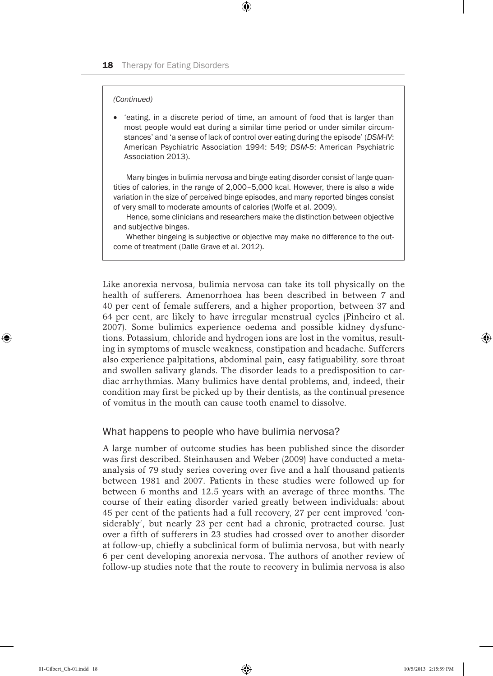#### *(Continued)*

• 'eating, in a discrete period of time, an amount of food that is larger than most people would eat during a similar time period or under similar circumstances' and 'a sense of lack of control over eating during the episode' (*DSM-IV*: American Psychiatric Association 1994: 549; *DSM-5*: American Psychiatric Association 2013).

 $\textcircled{\scriptsize{*}}$ 

Many binges in bulimia nervosa and binge eating disorder consist of large quantities of calories, in the range of 2,000–5,000 kcal. However, there is also a wide variation in the size of perceived binge episodes, and many reported binges consist of very small to moderate amounts of calories (Wolfe et al. 2009).

Hence, some clinicians and researchers make the distinction between objective and subjective binges.

Whether bingeing is subjective or objective may make no difference to the outcome of treatment (Dalle Grave et al. 2012).

Like anorexia nervosa, bulimia nervosa can take its toll physically on the health of sufferers. Amenorrhoea has been described in between 7 and 40 per cent of female sufferers, and a higher proportion, between 37 and 64 per cent, are likely to have irregular menstrual cycles (Pinheiro et al. 2007). Some bulimics experience oedema and possible kidney dysfunctions. Potassium, chloride and hydrogen ions are lost in the vomitus, resulting in symptoms of muscle weakness, constipation and headache. Sufferers also experience palpitations, abdominal pain, easy fatiguability, sore throat and swollen salivary glands. The disorder leads to a predisposition to cardiac arrhythmias. Many bulimics have dental problems, and, indeed, their condition may first be picked up by their dentists, as the continual presence of vomitus in the mouth can cause tooth enamel to dissolve.

## What happens to people who have bulimia nervosa?

A large number of outcome studies has been published since the disorder was first described. Steinhausen and Weber (2009) have conducted a metaanalysis of 79 study series covering over five and a half thousand patients between 1981 and 2007. Patients in these studies were followed up for between 6 months and 12.5 years with an average of three months. The course of their eating disorder varied greatly between individuals: about 45 per cent of the patients had a full recovery, 27 per cent improved 'considerably', but nearly 23 per cent had a chronic, protracted course. Just over a fifth of sufferers in 23 studies had crossed over to another disorder at follow-up, chiefly a subclinical form of bulimia nervosa, but with nearly 6 per cent developing anorexia nervosa. The authors of another review of follow-up studies note that the route to recovery in bulimia nervosa is also

♠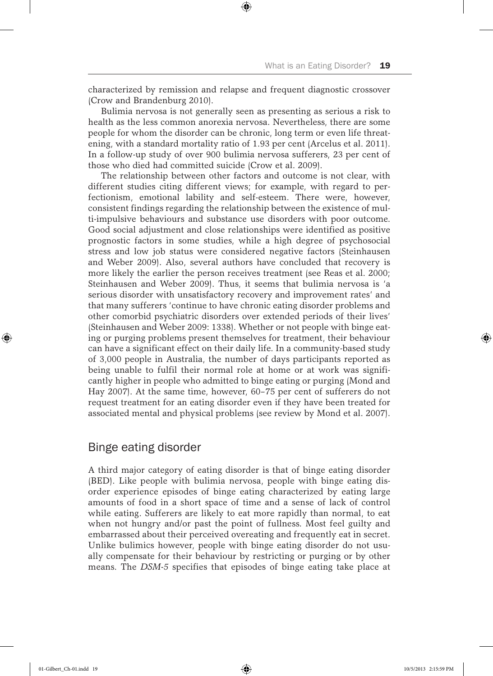characterized by remission and relapse and frequent diagnostic crossover (Crow and Brandenburg 2010).

⊕

Bulimia nervosa is not generally seen as presenting as serious a risk to health as the less common anorexia nervosa. Nevertheless, there are some people for whom the disorder can be chronic, long term or even life threatening, with a standard mortality ratio of 1.93 per cent (Arcelus et al. 2011). In a follow-up study of over 900 bulimia nervosa sufferers, 23 per cent of those who died had committed suicide (Crow et al. 2009).

The relationship between other factors and outcome is not clear, with different studies citing different views; for example, with regard to perfectionism, emotional lability and self-esteem. There were, however, consistent findings regarding the relationship between the existence of multi-impulsive behaviours and substance use disorders with poor outcome. Good social adjustment and close relationships were identified as positive prognostic factors in some studies, while a high degree of psychosocial stress and low job status were considered negative factors (Steinhausen and Weber 2009). Also, several authors have concluded that recovery is more likely the earlier the person receives treatment (see Reas et al. 2000; Steinhausen and Weber 2009). Thus, it seems that bulimia nervosa is 'a serious disorder with unsatisfactory recovery and improvement rates' and that many sufferers 'continue to have chronic eating disorder problems and other comorbid psychiatric disorders over extended periods of their lives' (Steinhausen and Weber 2009: 1338). Whether or not people with binge eating or purging problems present themselves for treatment, their behaviour can have a significant effect on their daily life. In a community-based study of 3,000 people in Australia, the number of days participants reported as being unable to fulfil their normal role at home or at work was significantly higher in people who admitted to binge eating or purging (Mond and Hay 2007). At the same time, however, 60–75 per cent of sufferers do not request treatment for an eating disorder even if they have been treated for associated mental and physical problems (see review by Mond et al. 2007).

# Binge eating disorder

A third major category of eating disorder is that of binge eating disorder (BED). Like people with bulimia nervosa, people with binge eating disorder experience episodes of binge eating characterized by eating large amounts of food in a short space of time and a sense of lack of control while eating. Sufferers are likely to eat more rapidly than normal, to eat when not hungry and/or past the point of fullness. Most feel guilty and embarrassed about their perceived overeating and frequently eat in secret. Unlike bulimics however, people with binge eating disorder do not usually compensate for their behaviour by restricting or purging or by other means. The *DSM-5* specifies that episodes of binge eating take place at

⊕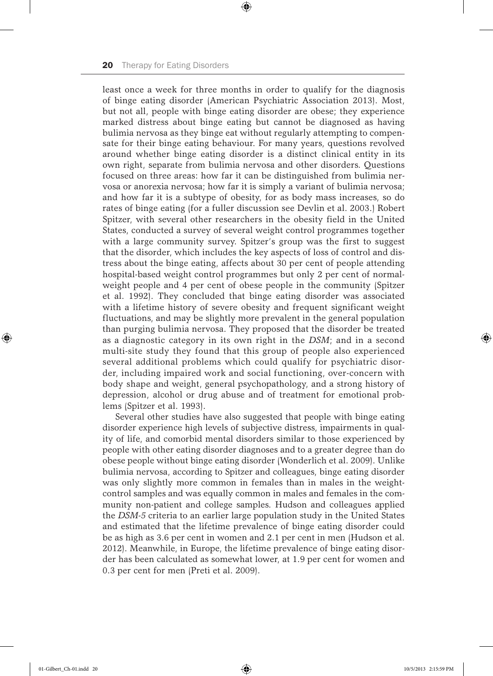least once a week for three months in order to qualify for the diagnosis of binge eating disorder (American Psychiatric Association 2013). Most, but not all, people with binge eating disorder are obese; they experience marked distress about binge eating but cannot be diagnosed as having bulimia nervosa as they binge eat without regularly attempting to compensate for their binge eating behaviour. For many years, questions revolved around whether binge eating disorder is a distinct clinical entity in its own right, separate from bulimia nervosa and other disorders. Questions focused on three areas: how far it can be distinguished from bulimia nervosa or anorexia nervosa; how far it is simply a variant of bulimia nervosa; and how far it is a subtype of obesity, for as body mass increases, so do rates of binge eating (for a fuller discussion see Devlin et al. 2003.) Robert Spitzer, with several other researchers in the obesity field in the United States, conducted a survey of several weight control programmes together with a large community survey. Spitzer's group was the first to suggest that the disorder, which includes the key aspects of loss of control and distress about the binge eating, affects about 30 per cent of people attending hospital-based weight control programmes but only 2 per cent of normalweight people and 4 per cent of obese people in the community (Spitzer et al. 1992). They concluded that binge eating disorder was associated with a lifetime history of severe obesity and frequent significant weight fluctuations, and may be slightly more prevalent in the general population than purging bulimia nervosa. They proposed that the disorder be treated as a diagnostic category in its own right in the *DSM*; and in a second multi-site study they found that this group of people also experienced several additional problems which could qualify for psychiatric disorder, including impaired work and social functioning, over-concern with body shape and weight, general psychopathology, and a strong history of depression, alcohol or drug abuse and of treatment for emotional problems (Spitzer et al. 1993).

⊕

Several other studies have also suggested that people with binge eating disorder experience high levels of subjective distress, impairments in quality of life, and comorbid mental disorders similar to those experienced by people with other eating disorder diagnoses and to a greater degree than do obese people without binge eating disorder (Wonderlich et al. 2009). Unlike bulimia nervosa, according to Spitzer and colleagues, binge eating disorder was only slightly more common in females than in males in the weightcontrol samples and was equally common in males and females in the community non-patient and college samples. Hudson and colleagues applied the *DSM-5* criteria to an earlier large population study in the United States and estimated that the lifetime prevalence of binge eating disorder could be as high as 3.6 per cent in women and 2.1 per cent in men (Hudson et al. 2012). Meanwhile, in Europe, the lifetime prevalence of binge eating disorder has been calculated as somewhat lower, at 1.9 per cent for women and 0.3 per cent for men (Preti et al. 2009).

⊕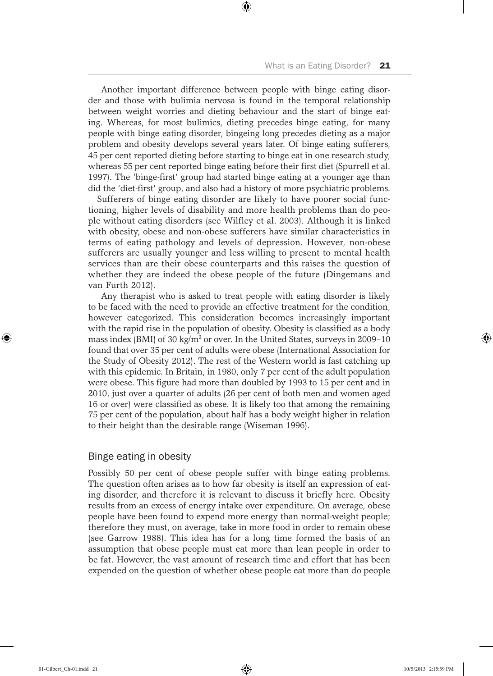Another important difference between people with binge eating disorder and those with bulimia nervosa is found in the temporal relationship between weight worries and dieting behaviour and the start of binge eating. Whereas, for most bulimics, dieting precedes binge eating, for many people with binge eating disorder, bingeing long precedes dieting as a major problem and obesity develops several years later. Of binge eating sufferers, 45 per cent reported dieting before starting to binge eat in one research study, whereas 55 per cent reported binge eating before their first diet (Spurrell et al. 1997). The 'binge-first' group had started binge eating at a younger age than did the 'diet-first' group, and also had a history of more psychiatric problems.

⊕

Sufferers of binge eating disorder are likely to have poorer social functioning, higher levels of disability and more health problems than do people without eating disorders (see Wilfley et al. 2003). Although it is linked with obesity, obese and non-obese sufferers have similar characteristics in terms of eating pathology and levels of depression. However, non-obese sufferers are usually younger and less willing to present to mental health services than are their obese counterparts and this raises the question of whether they are indeed the obese people of the future (Dingemans and van Furth 2012).

Any therapist who is asked to treat people with eating disorder is likely to be faced with the need to provide an effective treatment for the condition, however categorized. This consideration becomes increasingly important with the rapid rise in the population of obesity. Obesity is classified as a body mass index (BMI) of 30 kg/ $m^2$  or over. In the United States, surveys in 2009–10 found that over 35 per cent of adults were obese (International Association for the Study of Obesity 2012). The rest of the Western world is fast catching up with this epidemic. In Britain, in 1980, only 7 per cent of the adult population were obese. This figure had more than doubled by 1993 to 15 per cent and in 2010, just over a quarter of adults (26 per cent of both men and women aged 16 or over) were classified as obese. It is likely too that among the remaining 75 per cent of the population, about half has a body weight higher in relation to their height than the desirable range (Wiseman 1996).

# Binge eating in obesity

Possibly 50 per cent of obese people suffer with binge eating problems. The question often arises as to how far obesity is itself an expression of eating disorder, and therefore it is relevant to discuss it briefly here. Obesity results from an excess of energy intake over expenditure. On average, obese people have been found to expend more energy than normal-weight people; therefore they must, on average, take in more food in order to remain obese (see Garrow 1988). This idea has for a long time formed the basis of an assumption that obese people must eat more than lean people in order to be fat. However, the vast amount of research time and effort that has been expended on the question of whether obese people eat more than do people

⊕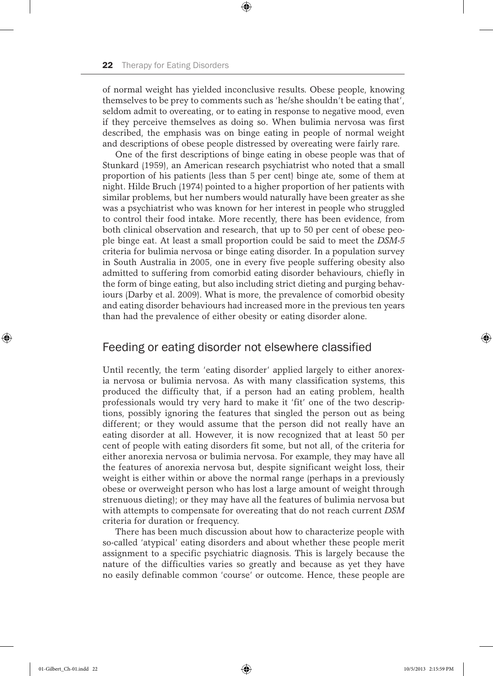of normal weight has yielded inconclusive results. Obese people, knowing themselves to be prey to comments such as 'he/she shouldn't be eating that', seldom admit to overeating, or to eating in response to negative mood, even if they perceive themselves as doing so. When bulimia nervosa was first described, the emphasis was on binge eating in people of normal weight and descriptions of obese people distressed by overeating were fairly rare.

⊕

One of the first descriptions of binge eating in obese people was that of Stunkard (1959), an American research psychiatrist who noted that a small proportion of his patients (less than 5 per cent) binge ate, some of them at night. Hilde Bruch (1974) pointed to a higher proportion of her patients with similar problems, but her numbers would naturally have been greater as she was a psychiatrist who was known for her interest in people who struggled to control their food intake. More recently, there has been evidence, from both clinical observation and research, that up to 50 per cent of obese people binge eat. At least a small proportion could be said to meet the *DSM-5*  criteria for bulimia nervosa or binge eating disorder. In a population survey in South Australia in 2005, one in every five people suffering obesity also admitted to suffering from comorbid eating disorder behaviours, chiefly in the form of binge eating, but also including strict dieting and purging behaviours (Darby et al. 2009). What is more, the prevalence of comorbid obesity and eating disorder behaviours had increased more in the previous ten years than had the prevalence of either obesity or eating disorder alone.

# Feeding or eating disorder not elsewhere classified

Until recently, the term 'eating disorder' applied largely to either anorexia nervosa or bulimia nervosa. As with many classification systems, this produced the difficulty that, if a person had an eating problem, health professionals would try very hard to make it 'fit' one of the two descriptions, possibly ignoring the features that singled the person out as being different; or they would assume that the person did not really have an eating disorder at all. However, it is now recognized that at least 50 per cent of people with eating disorders fit some, but not all, of the criteria for either anorexia nervosa or bulimia nervosa. For example, they may have all the features of anorexia nervosa but, despite significant weight loss, their weight is either within or above the normal range (perhaps in a previously obese or overweight person who has lost a large amount of weight through strenuous dieting); or they may have all the features of bulimia nervosa but with attempts to compensate for overeating that do not reach current *DSM* criteria for duration or frequency.

There has been much discussion about how to characterize people with so-called 'atypical' eating disorders and about whether these people merit assignment to a specific psychiatric diagnosis. This is largely because the nature of the difficulties varies so greatly and because as yet they have no easily definable common 'course' or outcome. Hence, these people are

⊕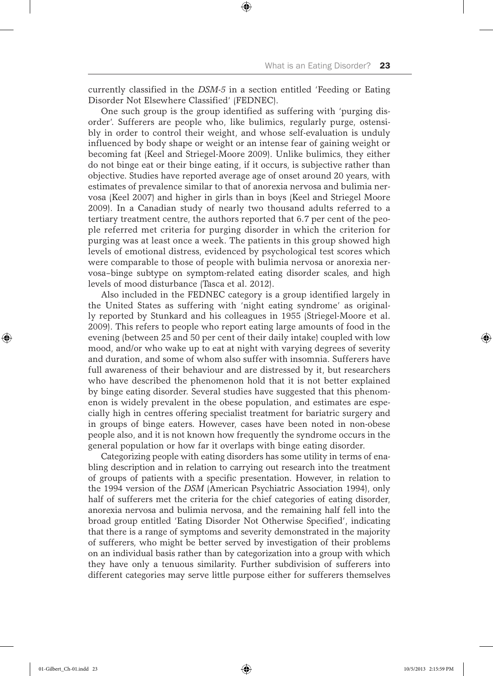currently classified in the *DSM-5* in a section entitled 'Feeding or Eating Disorder Not Elsewhere Classified' (FEDNEC).

⊕

One such group is the group identified as suffering with 'purging disorder'. Sufferers are people who, like bulimics, regularly purge, ostensibly in order to control their weight, and whose self-evaluation is unduly influenced by body shape or weight or an intense fear of gaining weight or becoming fat (Keel and Striegel-Moore 2009). Unlike bulimics, they either do not binge eat or their binge eating, if it occurs, is subjective rather than objective. Studies have reported average age of onset around 20 years, with estimates of prevalence similar to that of anorexia nervosa and bulimia nervosa (Keel 2007) and higher in girls than in boys (Keel and Striegel Moore 2009). In a Canadian study of nearly two thousand adults referred to a tertiary treatment centre, the authors reported that 6.7 per cent of the people referred met criteria for purging disorder in which the criterion for purging was at least once a week. The patients in this group showed high levels of emotional distress, evidenced by psychological test scores which were comparable to those of people with bulimia nervosa or anorexia nervosa–binge subtype on symptom-related eating disorder scales, and high levels of mood disturbance (Tasca et al. 2012).

Also included in the FEDNEC category is a group identified largely in the United States as suffering with 'night eating syndrome' as originally reported by Stunkard and his colleagues in 1955 (Striegel-Moore et al. 2009). This refers to people who report eating large amounts of food in the evening (between 25 and 50 per cent of their daily intake) coupled with low mood, and/or who wake up to eat at night with varying degrees of severity and duration, and some of whom also suffer with insomnia. Sufferers have full awareness of their behaviour and are distressed by it, but researchers who have described the phenomenon hold that it is not better explained by binge eating disorder. Several studies have suggested that this phenomenon is widely prevalent in the obese population, and estimates are especially high in centres offering specialist treatment for bariatric surgery and in groups of binge eaters. However, cases have been noted in non-obese people also, and it is not known how frequently the syndrome occurs in the general population or how far it overlaps with binge eating disorder.

Categorizing people with eating disorders has some utility in terms of enabling description and in relation to carrying out research into the treatment of groups of patients with a specific presentation. However, in relation to the 1994 version of the *DSM* (American Psychiatric Association 1994), only half of sufferers met the criteria for the chief categories of eating disorder, anorexia nervosa and bulimia nervosa, and the remaining half fell into the broad group entitled 'Eating Disorder Not Otherwise Specified', indicating that there is a range of symptoms and severity demonstrated in the majority of sufferers, who might be better served by investigation of their problems on an individual basis rather than by categorization into a group with which they have only a tenuous similarity. Further subdivision of sufferers into different categories may serve little purpose either for sufferers themselves

⊕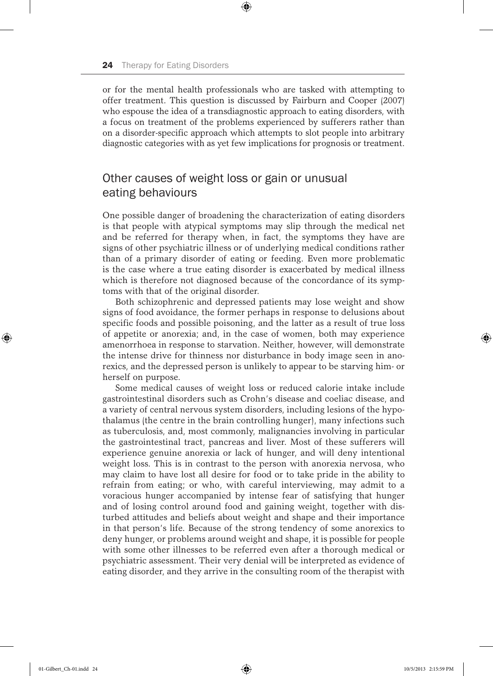or for the mental health professionals who are tasked with attempting to offer treatment. This question is discussed by Fairburn and Cooper (2007) who espouse the idea of a transdiagnostic approach to eating disorders, with a focus on treatment of the problems experienced by sufferers rather than on a disorder-specific approach which attempts to slot people into arbitrary diagnostic categories with as yet few implications for prognosis or treatment.

⊕

# Other causes of weight loss or gain or unusual eating behaviours

One possible danger of broadening the characterization of eating disorders is that people with atypical symptoms may slip through the medical net and be referred for therapy when, in fact, the symptoms they have are signs of other psychiatric illness or of underlying medical conditions rather than of a primary disorder of eating or feeding. Even more problematic is the case where a true eating disorder is exacerbated by medical illness which is therefore not diagnosed because of the concordance of its symptoms with that of the original disorder.

Both schizophrenic and depressed patients may lose weight and show signs of food avoidance, the former perhaps in response to delusions about specific foods and possible poisoning, and the latter as a result of true loss of appetite or anorexia; and, in the case of women, both may experience amenorrhoea in response to starvation. Neither, however, will demonstrate the intense drive for thinness nor disturbance in body image seen in anorexics, and the depressed person is unlikely to appear to be starving him- or herself on purpose.

Some medical causes of weight loss or reduced calorie intake include gastrointestinal disorders such as Crohn's disease and coeliac disease, and a variety of central nervous system disorders, including lesions of the hypothalamus (the centre in the brain controlling hunger), many infections such as tuberculosis, and, most commonly, malignancies involving in particular the gastrointestinal tract, pancreas and liver. Most of these sufferers will experience genuine anorexia or lack of hunger, and will deny intentional weight loss. This is in contrast to the person with anorexia nervosa, who may claim to have lost all desire for food or to take pride in the ability to refrain from eating; or who, with careful interviewing, may admit to a voracious hunger accompanied by intense fear of satisfying that hunger and of losing control around food and gaining weight, together with disturbed attitudes and beliefs about weight and shape and their importance in that person's life. Because of the strong tendency of some anorexics to deny hunger, or problems around weight and shape, it is possible for people with some other illnesses to be referred even after a thorough medical or psychiatric assessment. Their very denial will be interpreted as evidence of eating disorder, and they arrive in the consulting room of the therapist with

⊕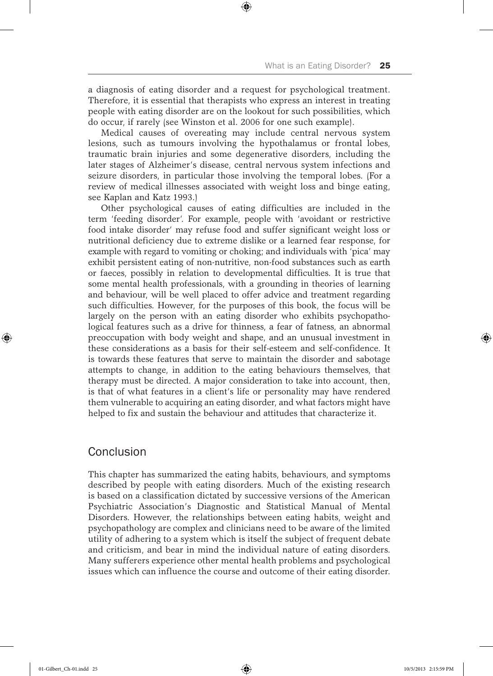a diagnosis of eating disorder and a request for psychological treatment. Therefore, it is essential that therapists who express an interest in treating people with eating disorder are on the lookout for such possibilities, which do occur, if rarely (see Winston et al. 2006 for one such example).

⊕

Medical causes of overeating may include central nervous system lesions, such as tumours involving the hypothalamus or frontal lobes, traumatic brain injuries and some degenerative disorders, including the later stages of Alzheimer's disease, central nervous system infections and seizure disorders, in particular those involving the temporal lobes. (For a review of medical illnesses associated with weight loss and binge eating, see Kaplan and Katz 1993.)

Other psychological causes of eating difficulties are included in the term 'feeding disorder'. For example, people with 'avoidant or restrictive food intake disorder' may refuse food and suffer significant weight loss or nutritional deficiency due to extreme dislike or a learned fear response, for example with regard to vomiting or choking; and individuals with 'pica' may exhibit persistent eating of non-nutritive, non-food substances such as earth or faeces, possibly in relation to developmental difficulties. It is true that some mental health professionals, with a grounding in theories of learning and behaviour, will be well placed to offer advice and treatment regarding such difficulties. However, for the purposes of this book, the focus will be largely on the person with an eating disorder who exhibits psychopathological features such as a drive for thinness, a fear of fatness, an abnormal preoccupation with body weight and shape, and an unusual investment in these considerations as a basis for their self-esteem and self-confidence. It is towards these features that serve to maintain the disorder and sabotage attempts to change, in addition to the eating behaviours themselves, that therapy must be directed. A major consideration to take into account, then, is that of what features in a client's life or personality may have rendered them vulnerable to acquiring an eating disorder, and what factors might have helped to fix and sustain the behaviour and attitudes that characterize it.

# Conclusion

This chapter has summarized the eating habits, behaviours, and symptoms described by people with eating disorders. Much of the existing research is based on a classification dictated by successive versions of the American Psychiatric Association's Diagnostic and Statistical Manual of Mental Disorders. However, the relationships between eating habits, weight and psychopathology are complex and clinicians need to be aware of the limited utility of adhering to a system which is itself the subject of frequent debate and criticism, and bear in mind the individual nature of eating disorders. Many sufferers experience other mental health problems and psychological issues which can influence the course and outcome of their eating disorder.

♠